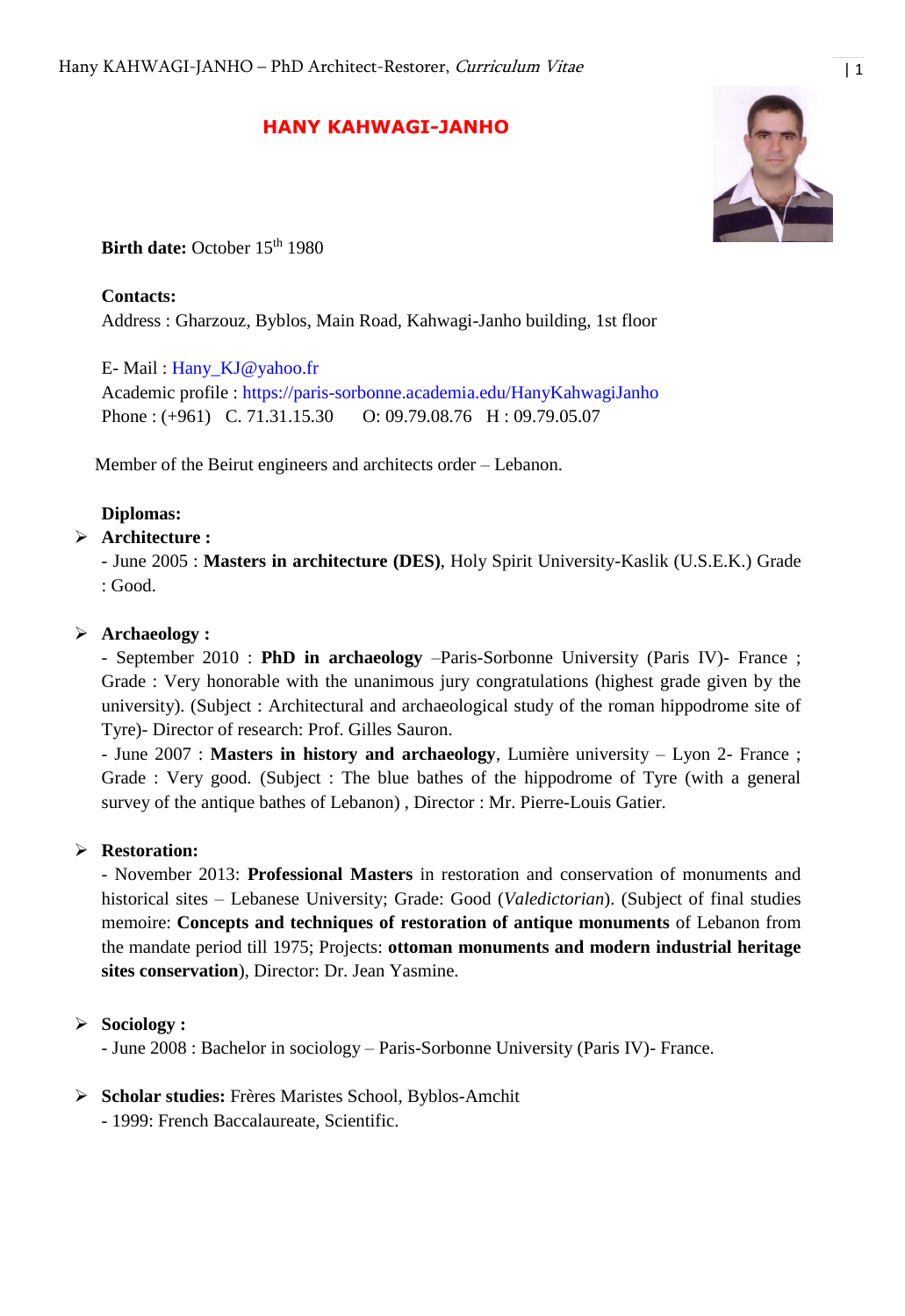# **HANY KAHWAGI-JANHO**



**Birth date:** October 15<sup>th</sup> 1980

## **Contacts:**

Address : Gharzouz, Byblos, Main Road, Kahwagi-Janho building, 1st floor

E- Mail : [Hany\\_KJ@yahoo.fr](mailto:Hany_KJ@yahoo.fr)

Academic profile :<https://paris-sorbonne.academia.edu/HanyKahwagiJanho> Phone : (+961) C. 71.31.15.30 O: 09.79.08.76 H : 09.79.05.07

Member of the Beirut engineers and architects order – Lebanon.

### **Diplomas:**

## **Architecture :**

- June 2005 : **Masters in architecture (DES)**, Holy Spirit University-Kaslik (U.S.E.K.) Grade : Good.

### **Archaeology :**

- September 2010 : **PhD in archaeology** –Paris-Sorbonne University (Paris IV)- France ; Grade : Very honorable with the unanimous jury congratulations (highest grade given by the university). (Subject : Architectural and archaeological study of the roman hippodrome site of Tyre)- Director of research: Prof. Gilles Sauron.

- June 2007 : **Masters in history and archaeology**, Lumière university – Lyon 2- France ; Grade : Very good. (Subject : The blue bathes of the hippodrome of Tyre (with a general survey of the antique bathes of Lebanon) , Director : Mr. Pierre-Louis Gatier.

## **Restoration:**

- November 2013: **Professional Masters** in restoration and conservation of monuments and historical sites – Lebanese University; Grade: Good (*Valedictorian*). (Subject of final studies memoire: **Concepts and techniques of restoration of antique monuments** of Lebanon from the mandate period till 1975; Projects: **ottoman monuments and modern industrial heritage sites conservation**), Director: Dr. Jean Yasmine.

## **Sociology :**

- June 2008 : Bachelor in sociology – Paris-Sorbonne University (Paris IV)- France.

## **Scholar studies:** Frères Maristes School, Byblos-Amchit

- 1999: French Baccalaureate, Scientific.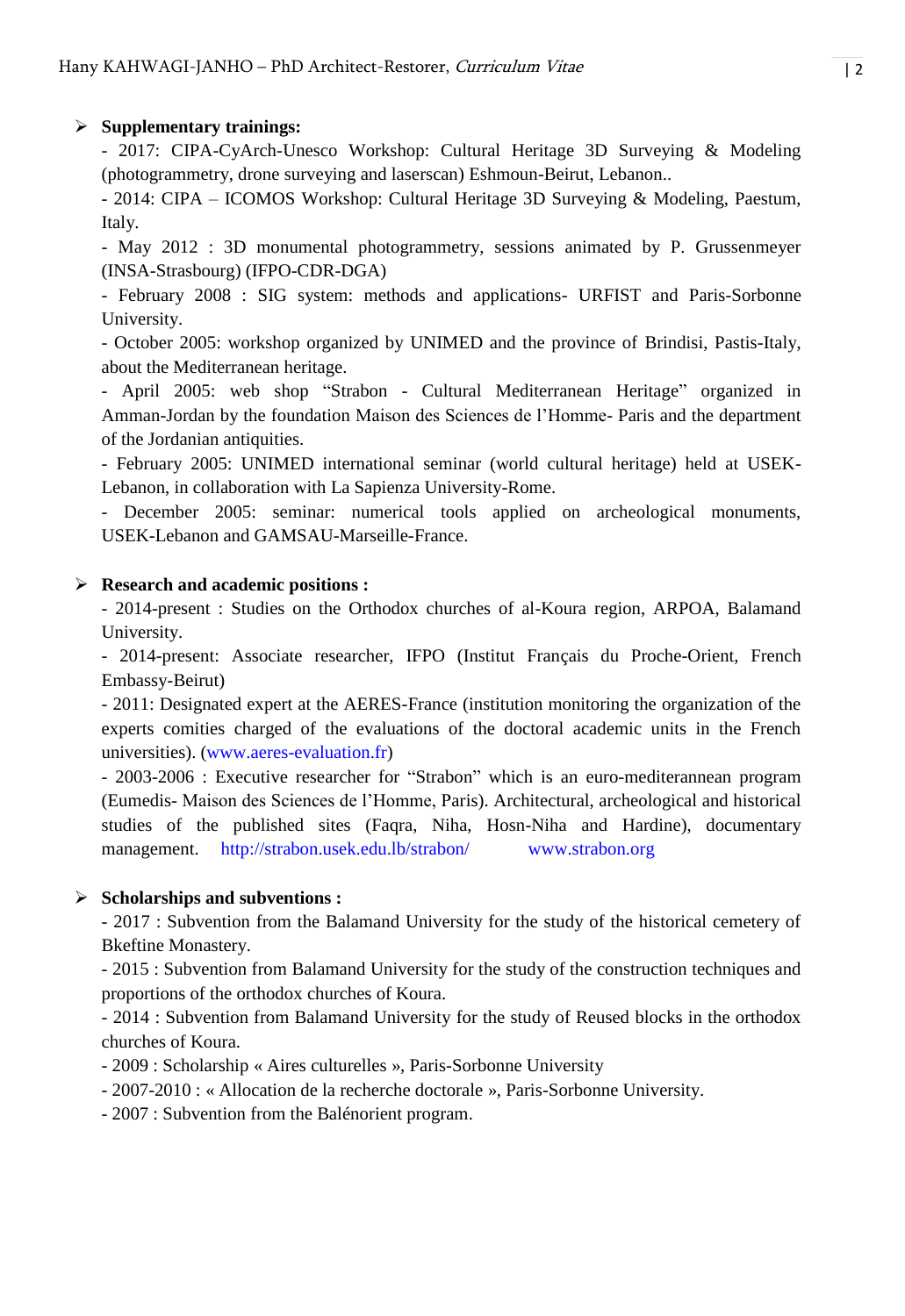## **Supplementary trainings:**

- 2017: CIPA-CyArch-Unesco Workshop: Cultural Heritage 3D Surveying & Modeling (photogrammetry, drone surveying and laserscan) Eshmoun-Beirut, Lebanon..

- 2014: CIPA – ICOMOS Workshop: Cultural Heritage 3D Surveying & Modeling, Paestum, Italy.

- May 2012 : 3D monumental photogrammetry, sessions animated by P. Grussenmeyer (INSA-Strasbourg) (IFPO-CDR-DGA)

- February 2008 : SIG system: methods and applications- URFIST and Paris-Sorbonne University.

- October 2005: workshop organized by UNIMED and the province of Brindisi, Pastis-Italy, about the Mediterranean heritage.

- April 2005: web shop "Strabon - Cultural Mediterranean Heritage" organized in Amman-Jordan by the foundation Maison des Sciences de l'Homme- Paris and the department of the Jordanian antiquities.

- February 2005: UNIMED international seminar (world cultural heritage) held at USEK-Lebanon, in collaboration with La Sapienza University-Rome.

- December 2005: seminar: numerical tools applied on archeological monuments, USEK-Lebanon and GAMSAU-Marseille-France.

## **Research and academic positions :**

- 2014-present : Studies on the Orthodox churches of al-Koura region, ARPOA, Balamand University.

- 2014-present: Associate researcher, IFPO (Institut Français du Proche-Orient, French Embassy-Beirut)

- 2011: Designated expert at the AERES-France (institution monitoring the organization of the experts comities charged of the evaluations of the doctoral academic units in the French universities). [\(www.aeres-evaluation.fr\)](http://www.aeres-evaluation.fr/)

- 2003-2006 : Executive researcher for "Strabon" which is an euro-mediterannean program (Eumedis- Maison des Sciences de l'Homme, Paris). Architectural, archeological and historical studies of the published sites (Faqra, Niha, Hosn-Niha and Hardine), documentary management. <http://strabon.usek.edu.lb/strabon/>[www.strabon.org](http://www.strabon.org/)

# **Scholarships and subventions :**

- 2017 : Subvention from the Balamand University for the study of the historical cemetery of Bkeftine Monastery.

- 2015 : Subvention from Balamand University for the study of the construction techniques and proportions of the orthodox churches of Koura.

- 2014 : Subvention from Balamand University for the study of Reused blocks in the orthodox churches of Koura.

- 2009 : Scholarship « Aires culturelles », Paris-Sorbonne University
- 2007-2010 : « Allocation de la recherche doctorale », Paris-Sorbonne University.
- 2007 : Subvention from the Balénorient program.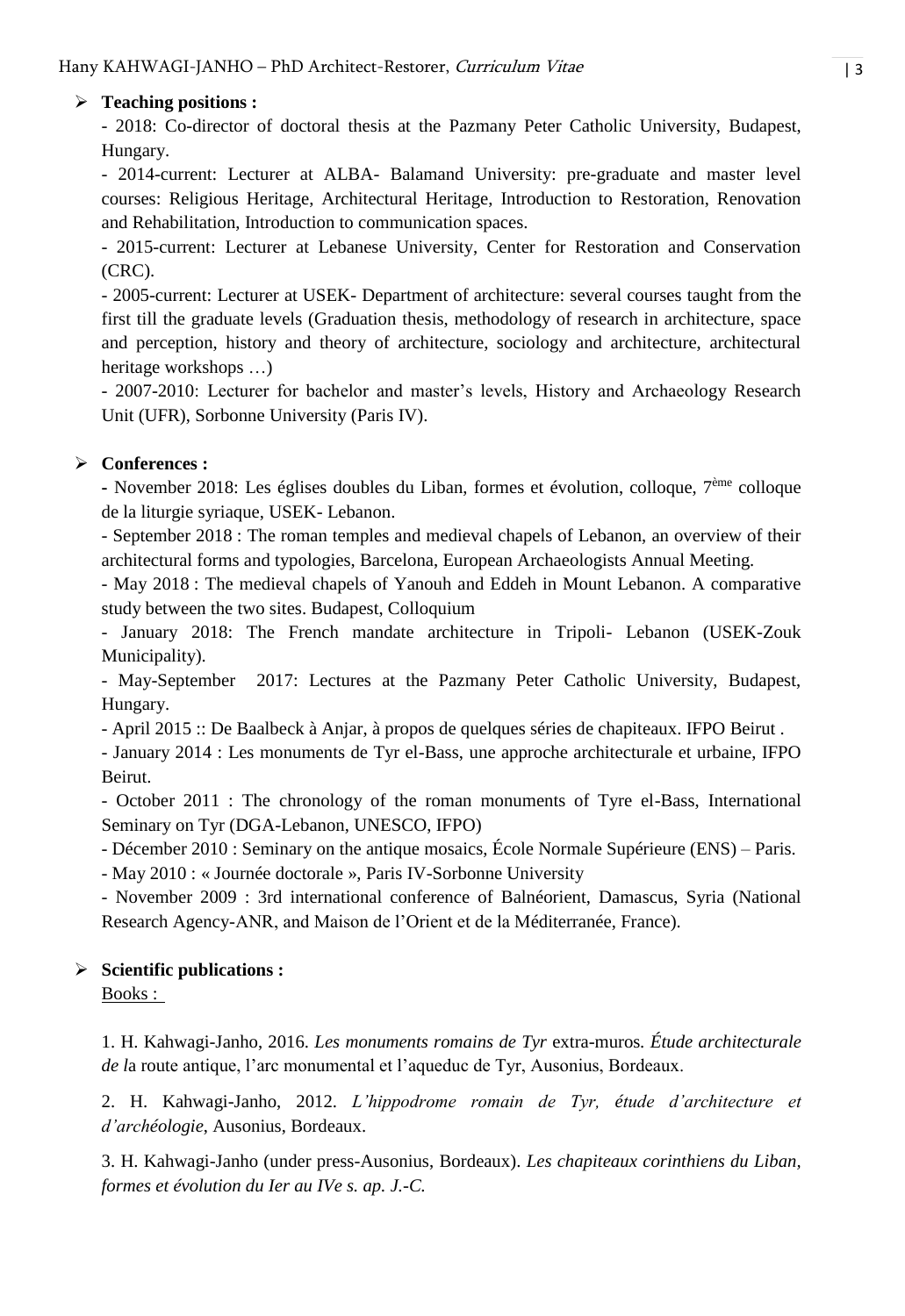## **Teaching positions :**

- 2018: Co-director of doctoral thesis at the Pazmany Peter Catholic University, Budapest, Hungary.

- 2014-current: Lecturer at ALBA- Balamand University: pre-graduate and master level courses: Religious Heritage, Architectural Heritage, Introduction to Restoration, Renovation and Rehabilitation, Introduction to communication spaces.

- 2015-current: Lecturer at Lebanese University, Center for Restoration and Conservation (CRC).

- 2005-current: Lecturer at USEK- Department of architecture: several courses taught from the first till the graduate levels (Graduation thesis, methodology of research in architecture, space and perception, history and theory of architecture, sociology and architecture, architectural heritage workshops …)

- 2007-2010: Lecturer for bachelor and master's levels, History and Archaeology Research Unit (UFR), Sorbonne University (Paris IV).

# **Conferences :**

**-** November 2018: Les églises doubles du Liban, formes et évolution, colloque, 7ème colloque de la liturgie syriaque, USEK- Lebanon.

- September 2018 : The roman temples and medieval chapels of Lebanon, an overview of their architectural forms and typologies, Barcelona, European Archaeologists Annual Meeting.

- May 2018 : The medieval chapels of Yanouh and Eddeh in Mount Lebanon. A comparative study between the two sites. Budapest, Colloquium

- January 2018: The French mandate architecture in Tripoli- Lebanon (USEK-Zouk Municipality).

- May-September 2017: Lectures at the Pazmany Peter Catholic University, Budapest, Hungary.

- April 2015 :: De Baalbeck à Anjar, à propos de quelques séries de chapiteaux. IFPO Beirut .

- January 2014 : Les monuments de Tyr el-Bass, une approche architecturale et urbaine, IFPO Beirut.

- October 2011 : The chronology of the roman monuments of Tyre el-Bass, International Seminary on Tyr (DGA-Lebanon, UNESCO, IFPO)

- Décember 2010 : Seminary on the antique mosaics, École Normale Supérieure (ENS) – Paris.

- May 2010 : « Journée doctorale », Paris IV-Sorbonne University

- November 2009 : 3rd international conference of Balnéorient, Damascus, Syria (National Research Agency-ANR, and Maison de l'Orient et de la Méditerranée, France).

## **Scientific publications :**

Books :

1. H. Kahwagi-Janho, 2016. *Les monuments romains de Tyr* extra-muros*. Étude architecturale de l*a route antique, l'arc monumental et l'aqueduc de Tyr, Ausonius, Bordeaux.

2. H. Kahwagi-Janho, 2012. *L'hippodrome romain de Tyr, étude d'architecture et d'archéologie*, Ausonius, Bordeaux.

3. H. Kahwagi-Janho (under press-Ausonius, Bordeaux). *Les chapiteaux corinthiens du Liban, formes et évolution du Ier au IVe s. ap. J.-C.*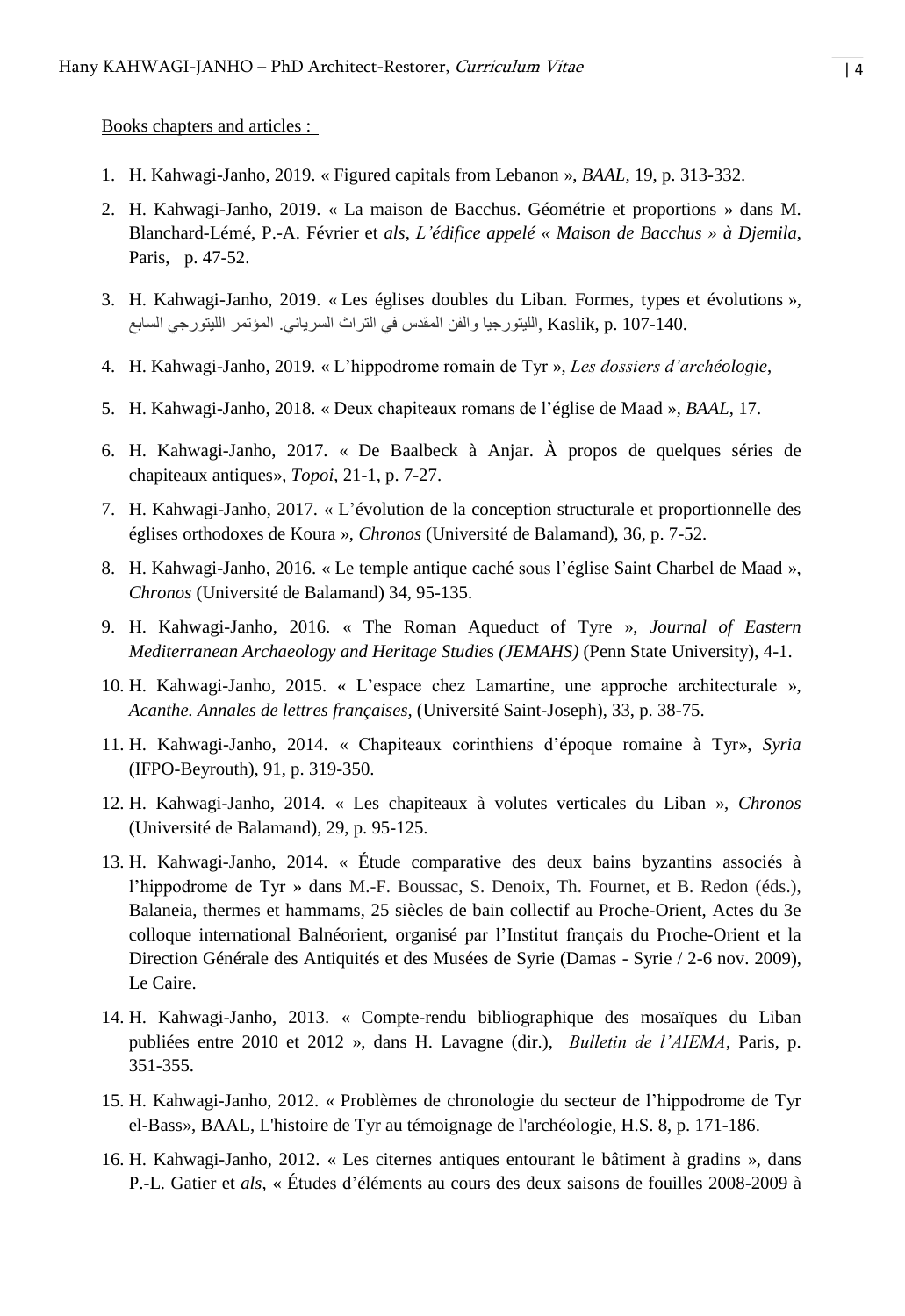Books chapters and articles :

- 1. H. Kahwagi-Janho, 2019. « Figured capitals from Lebanon », *BAAL,* 19, p. 313-332.
- 2. H. Kahwagi-Janho, 2019. « La maison de Bacchus. Géométrie et proportions » dans M. Blanchard-Lémé, P.-A. Février et *als*, *L'édifice appelé « Maison de Bacchus » à Djemila*, Paris, p. 47-52.
- 3. H. Kahwagi-Janho, 2019. « Les églises doubles du Liban. Formes, types et évolutions », 107-140. .p ,Kaslik ,الليتورجيا والفن المقدس في التراث السرياني. المؤتمر الليتورجي السابع
- 4. H. Kahwagi-Janho, 2019. « L'hippodrome romain de Tyr », *Les dossiers d'archéologie*,
- 5. H. Kahwagi-Janho, 2018. « Deux chapiteaux romans de l'église de Maad », *BAAL*, 17.
- 6. H. Kahwagi-Janho, 2017. « De Baalbeck à Anjar. À propos de quelques séries de chapiteaux antiques», *Topoi*, 21-1, p. 7-27.
- 7. H. Kahwagi-Janho, 2017. « L'évolution de la conception structurale et proportionnelle des églises orthodoxes de Koura », *Chronos* (Université de Balamand), 36, p. 7-52.
- 8. H. Kahwagi-Janho, 2016. « Le temple antique caché sous l'église Saint Charbel de Maad », *Chronos* (Université de Balamand) 34, 95-135.
- 9. H. Kahwagi-Janho, 2016. « The Roman Aqueduct of Tyre », *Journal of Eastern Mediterranean Archaeology and Heritage Studie*s *(JEMAHS)* (Penn State University), 4-1.
- 10. H. Kahwagi-Janho, 2015. « L'espace chez Lamartine, une approche architecturale », *Acanthe. Annales de lettres françaises,* (Université Saint-Joseph), 33, p. 38-75.
- 11. H. Kahwagi-Janho, 2014. « Chapiteaux corinthiens d'époque romaine à Tyr», *Syria* (IFPO-Beyrouth), 91, p. 319-350.
- 12. H. Kahwagi-Janho, 2014. « Les chapiteaux à volutes verticales du Liban », *Chronos* (Université de Balamand), 29, p. 95-125.
- 13. H. Kahwagi-Janho, 2014. « Étude comparative des deux bains byzantins associés à l'hippodrome de Tyr » dans M.-F. Boussac, S. Denoix, Th. Fournet, et B. Redon (éds.), Balaneia, thermes et hammams, 25 siècles de bain collectif au Proche-Orient, Actes du 3e colloque international Balnéorient, organisé par l'Institut français du Proche-Orient et la Direction Générale des Antiquités et des Musées de Syrie (Damas - Syrie / 2-6 nov. 2009), Le Caire.
- 14. H. Kahwagi-Janho, 2013. « Compte-rendu bibliographique des mosaïques du Liban publiées entre 2010 et 2012 », dans H. Lavagne (dir.), *Bulletin de l'AIEMA*, Paris, p. 351-355.
- 15. H. Kahwagi-Janho, 2012. « Problèmes de chronologie du secteur de l'hippodrome de Tyr el-Bass», BAAL, L'histoire de Tyr au témoignage de l'archéologie, H.S. 8, p. 171-186.
- 16. H. Kahwagi-Janho, 2012. « Les citernes antiques entourant le bâtiment à gradins », dans P.-L. Gatier et *als*, « Études d'éléments au cours des deux saisons de fouilles 2008-2009 à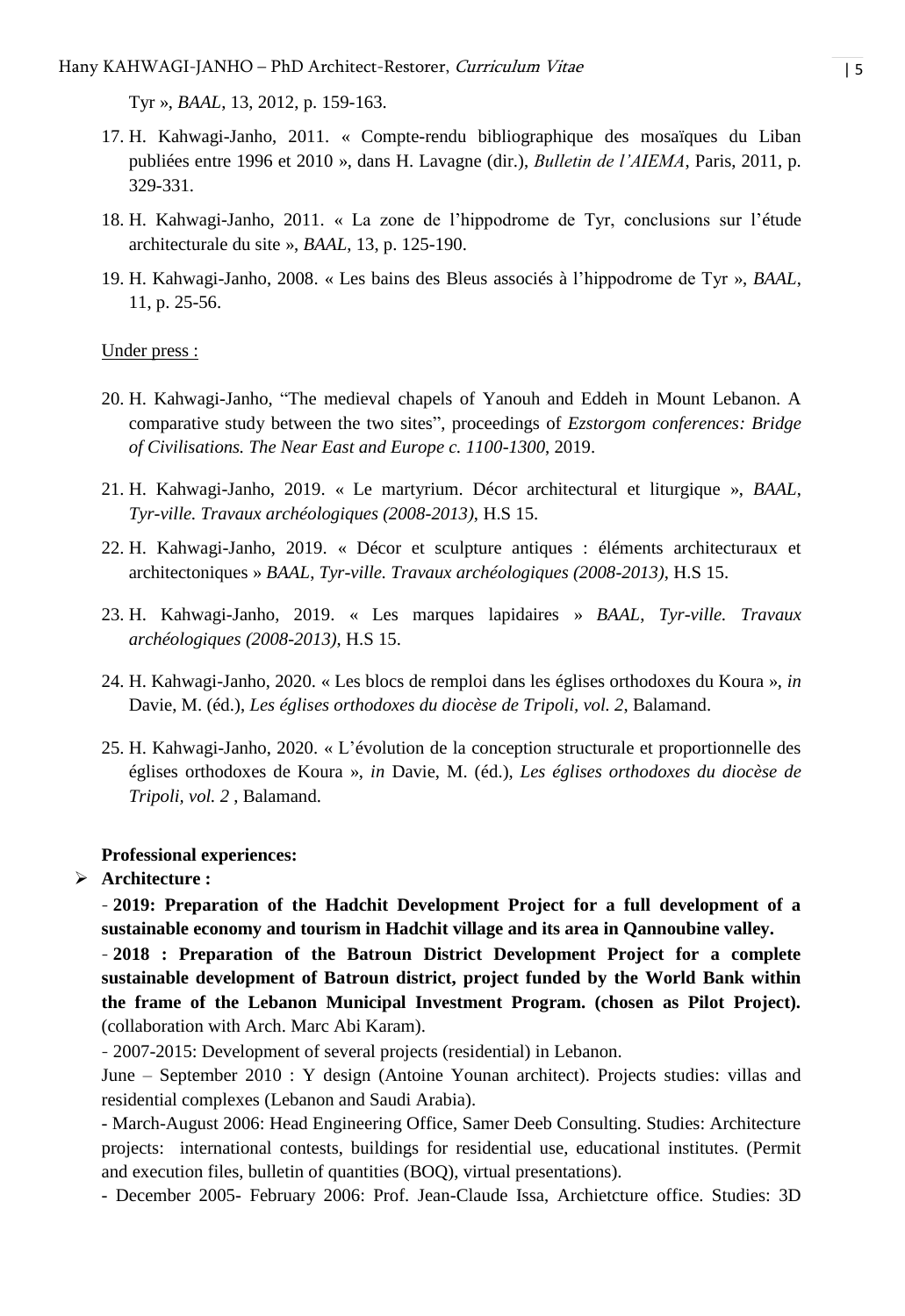Tyr », *BAAL*, 13, 2012, p. 159-163.

- 17. H. Kahwagi-Janho, 2011. « Compte-rendu bibliographique des mosaïques du Liban publiées entre 1996 et 2010 », dans H. Lavagne (dir.), *Bulletin de l'AIEMA*, Paris, 2011, p. 329-331.
- 18. H. Kahwagi-Janho, 2011. « La zone de l'hippodrome de Tyr, conclusions sur l'étude architecturale du site », *BAAL*, 13, p. 125-190.
- 19. H. Kahwagi-Janho, 2008. « Les bains des Bleus associés à l'hippodrome de Tyr », *BAAL*, 11, p. 25-56.

#### Under press :

- 20. H. Kahwagi-Janho, "The medieval chapels of Yanouh and Eddeh in Mount Lebanon. A comparative study between the two sites", proceedings of *Ezstorgom conferences: Bridge of Civilisations. The Near East and Europe c. 1100-1300*, 2019.
- 21. H. Kahwagi-Janho, 2019. « Le martyrium. Décor architectural et liturgique », *BAAL*, *Tyr-ville. Travaux archéologiques (2008-2013)*, H.S 15.
- 22. H. Kahwagi-Janho, 2019. « Décor et sculpture antiques : éléments architecturaux et architectoniques » *BAAL*, *Tyr-ville. Travaux archéologiques (2008-2013)*, H.S 15.
- 23. H. Kahwagi-Janho, 2019. « Les marques lapidaires » *BAAL*, *Tyr-ville. Travaux archéologiques (2008-2013)*, H.S 15.
- 24. H. Kahwagi-Janho, 2020. « Les blocs de remploi dans les églises orthodoxes du Koura », *in* Davie, M. (éd.), *Les églises orthodoxes du diocèse de Tripoli, vol. 2*, Balamand.
- 25. H. Kahwagi-Janho, 2020. « L'évolution de la conception structurale et proportionnelle des églises orthodoxes de Koura », *in* Davie, M. (éd.), *Les églises orthodoxes du diocèse de Tripoli, vol. 2* , Balamand.

#### **Professional experiences:**

#### **Architecture :**

- **2019: Preparation of the Hadchit Development Project for a full development of a sustainable economy and tourism in Hadchit village and its area in Qannoubine valley.**

- **2018 : Preparation of the Batroun District Development Project for a complete sustainable development of Batroun district, project funded by the World Bank within the frame of the Lebanon Municipal Investment Program. (chosen as Pilot Project).** (collaboration with Arch. Marc Abi Karam).

- 2007-2015: Development of several projects (residential) in Lebanon.

June – September 2010 : Y design (Antoine Younan architect). Projects studies: villas and residential complexes (Lebanon and Saudi Arabia).

- March-August 2006: Head Engineering Office, Samer Deeb Consulting. Studies: Architecture projects: international contests, buildings for residential use, educational institutes. (Permit and execution files, bulletin of quantities (BOQ), virtual presentations).

- December 2005- February 2006: Prof. Jean-Claude Issa, Archietcture office. Studies: 3D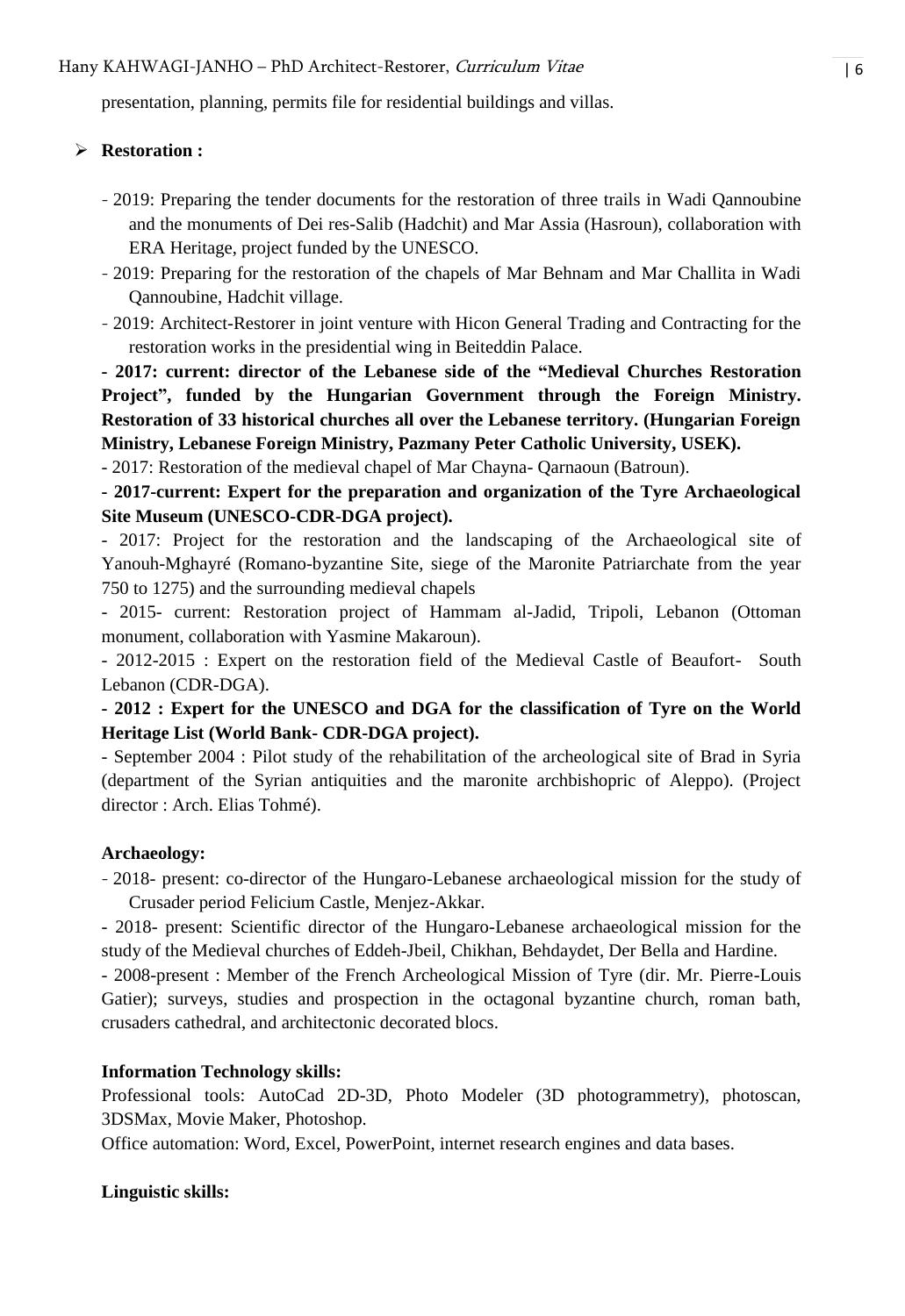Hany KAHWAGI-JANHO – PhD Architect-Restorer, *Curriculum Vitae* | 6

presentation, planning, permits file for residential buildings and villas.

## **Restoration :**

- 2019: Preparing the tender documents for the restoration of three trails in Wadi Qannoubine and the monuments of Dei res-Salib (Hadchit) and Mar Assia (Hasroun), collaboration with ERA Heritage, project funded by the UNESCO.
- 2019: Preparing for the restoration of the chapels of Mar Behnam and Mar Challita in Wadi Qannoubine, Hadchit village.
- 2019: Architect-Restorer in joint venture with Hicon General Trading and Contracting for the restoration works in the presidential wing in Beiteddin Palace.

**- 2017: current: director of the Lebanese side of the "Medieval Churches Restoration Project", funded by the Hungarian Government through the Foreign Ministry. Restoration of 33 historical churches all over the Lebanese territory. (Hungarian Foreign Ministry, Lebanese Foreign Ministry, Pazmany Peter Catholic University, USEK).** 

- 2017: Restoration of the medieval chapel of Mar Chayna- Qarnaoun (Batroun).

**- 2017-current: Expert for the preparation and organization of the Tyre Archaeological Site Museum (UNESCO-CDR-DGA project).** 

- 2017: Project for the restoration and the landscaping of the Archaeological site of Yanouh-Mghayré (Romano-byzantine Site, siege of the Maronite Patriarchate from the year 750 to 1275) and the surrounding medieval chapels

- 2015- current: Restoration project of Hammam al-Jadid, Tripoli, Lebanon (Ottoman monument, collaboration with Yasmine Makaroun).

- 2012-2015 : Expert on the restoration field of the Medieval Castle of Beaufort- South Lebanon (CDR-DGA).

**- 2012 : Expert for the UNESCO and DGA for the classification of Tyre on the World Heritage List (World Bank- CDR-DGA project).** 

- September 2004 : Pilot study of the rehabilitation of the archeological site of Brad in Syria (department of the Syrian antiquities and the maronite archbishopric of Aleppo). (Project director : Arch. Elias Tohmé).

## **Archaeology:**

- 2018- present: co-director of the Hungaro-Lebanese archaeological mission for the study of Crusader period Felicium Castle, Menjez-Akkar.

- 2018- present: Scientific director of the Hungaro-Lebanese archaeological mission for the study of the Medieval churches of Eddeh-Jbeil, Chikhan, Behdaydet, Der Bella and Hardine.

- 2008-present : Member of the French Archeological Mission of Tyre (dir. Mr. Pierre-Louis Gatier); surveys, studies and prospection in the octagonal byzantine church, roman bath, crusaders cathedral, and architectonic decorated blocs.

## **Information Technology skills:**

Professional tools: AutoCad 2D-3D, Photo Modeler (3D photogrammetry), photoscan, 3DSMax, Movie Maker, Photoshop.

Office automation: Word, Excel, PowerPoint, internet research engines and data bases.

## **Linguistic skills:**